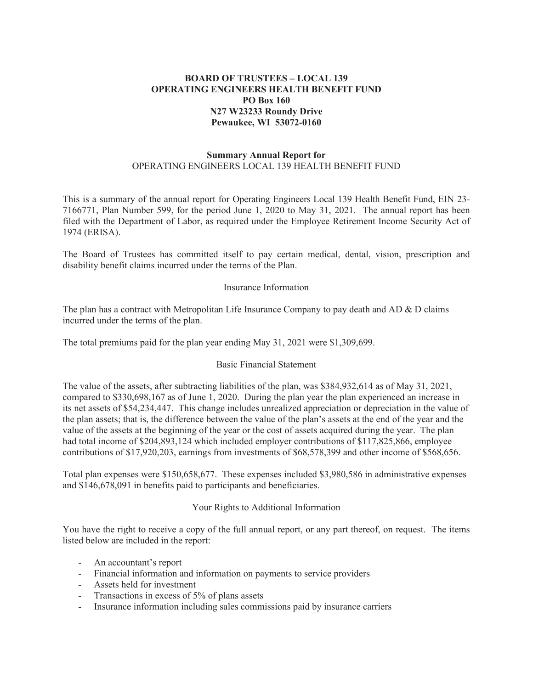# **BOARD OF TRUSTEES – LOCAL 139 OPERATING ENGINEERS HEALTH BENEFIT FUND PO Box 160 N27 W23233 Roundy Drive Pewaukee, WI 53072-0160**

### **Summary Annual Report for**  OPERATING ENGINEERS LOCAL 139 HEALTH BENEFIT FUND

This is a summary of the annual report for Operating Engineers Local 139 Health Benefit Fund, EIN 23- 7166771, Plan Number 599, for the period June 1, 2020 to May 31, 2021. The annual report has been filed with the Department of Labor, as required under the Employee Retirement Income Security Act of 1974 (ERISA).

The Board of Trustees has committed itself to pay certain medical, dental, vision, prescription and disability benefit claims incurred under the terms of the Plan.

### Insurance Information

The plan has a contract with Metropolitan Life Insurance Company to pay death and AD & D claims incurred under the terms of the plan.

The total premiums paid for the plan year ending May 31, 2021 were \$1,309,699.

#### Basic Financial Statement

The value of the assets, after subtracting liabilities of the plan, was \$384,932,614 as of May 31, 2021, compared to \$330,698,167 as of June 1, 2020. During the plan year the plan experienced an increase in its net assets of \$54,234,447. This change includes unrealized appreciation or depreciation in the value of the plan assets; that is, the difference between the value of the plan's assets at the end of the year and the value of the assets at the beginning of the year or the cost of assets acquired during the year. The plan had total income of \$204,893,124 which included employer contributions of \$117,825,866, employee contributions of \$17,920,203, earnings from investments of \$68,578,399 and other income of \$568,656.

Total plan expenses were \$150,658,677. These expenses included \$3,980,586 in administrative expenses and \$146,678,091 in benefits paid to participants and beneficiaries.

## Your Rights to Additional Information

You have the right to receive a copy of the full annual report, or any part thereof, on request. The items listed below are included in the report:

- An accountant's report
- Financial information and information on payments to service providers
- Assets held for investment
- Transactions in excess of 5% of plans assets
- Insurance information including sales commissions paid by insurance carriers